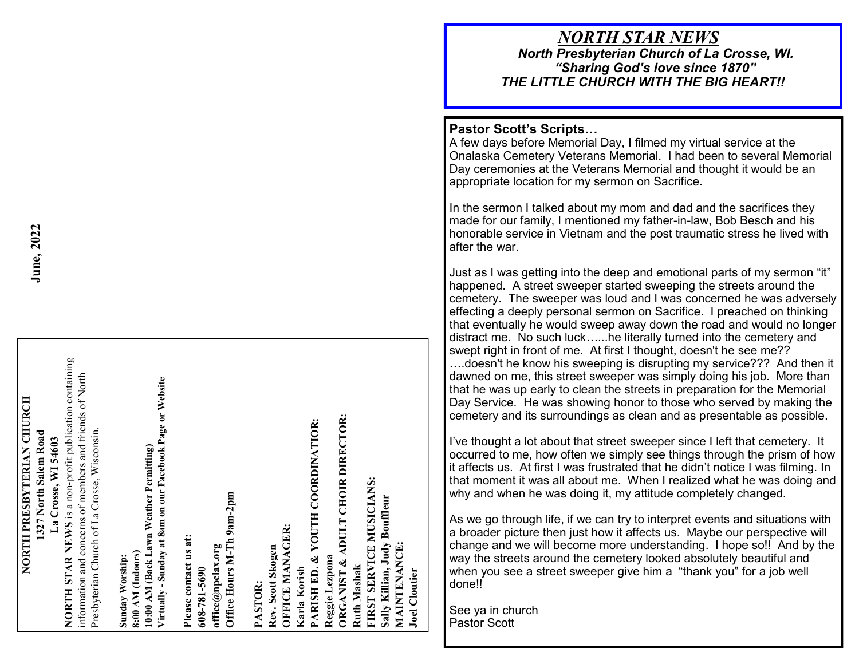## *NORTH STAR NEWS North Presbyterian Church of La Crosse, WI.*

*"Sharing God 's love since 1870" THE LITTLE CHURCH WITH THE BIG HEART!!*

## **Pastor Scott 's Scripts …**

A few days before Memorial Day, I filmed my virtual service at the Onalaska Cemetery Veterans Memorial. I had been to several Memorial Day ceremonies at the Veterans Memorial and thought it would be an appropriate location for my sermon on Sacrifice.

In the sermon I talked about my mom and dad and the sacrifices they made for our family, I mentioned my father -in -law, Bob Besch and his honorable service in Vietnam and the post traumatic stress he lived with after the war.

Just as I was getting into the deep and emotional parts of my sermon "it" happened. A street sweeper started sweeping the streets around the cemetery. The sweeper was loud and I was concerned he was adversely effecting a deeply personal sermon on Sacrifice. I preached on thinking that eventually he would sweep away down the road and would no longer distract me. No such luck…...he literally turned into the cemetery and swept right in front of me. At first I thought, doesn't he see me?? ….doesn't he know his sweeping is disrupting my service??? And then it dawned on me, this street sweeper was simply doing his job. More than that he was up early to clean the streets in preparation for the Memorial Day Service. He was showing honor to those who served by making the cemetery and its surroundings as clean and as presentable as possible.

I've thought a lot about that street sweeper since I left that cemetery. It occurred to me, how often we simply see things through the prism of how it affects us. At first I was frustrated that he didn 't notice I was filming. In that moment it was all about me. When I realized what he was doing and why and when he was doing it, my attitude completely changed.

As we go through life, if we can try to interpret events and situations with a broader picture then just how it affects us. Maybe our perspective will change and we will become more understanding. I hope so!! And by the way the streets around the cemetery looked absolutely beautiful and when you see a street sweeper give him a "thank you" for a job well done!!

See ya in church Pastor Scott

**Joel Cloutier**

**NORTH STAR NEWS** is a non-profit publication containing NORTH STAR NEWS is a non-profit publication containing information and concerns of members and friends of North information and concerns of members and friends of North 10:00 AM (Back Lawn Weather Permitting)<br>Virtually - Sunday at 8am on our Facebook Page or Website **Virtually - Sunday at 8am on our Facebook Page or Website** NORTH PRESBYTERIAN CHURCH **NORTH PRESBYTERIAN CHURCH ORGANIST & ADULT CHOIR DIRECTOR:**  ORGANIST & ADULT CHOIR DIRECTOR: **PARISH ED. & YOUTH COORDINATIOR: Karla Korish** 1327 North Salem Road Presbyterian Church of La Crosse, Wisconsin. Presbyterian Church of La Crosse, Wisconsin. **1327 North Salem Road** La Crosse, WI 54603 **La Crosse, WI 54603 10:00 AM (Back Lawn Weather Permitting) Ruth Mashak FIRST SERVICE MUSICIANS:** Office Hours M-Th 9am-2pm **Office Hours M-Th 9am-2pm Sally Killian, Judy Bouffleur**  Sally Killian, Judy Bouffleur **OFFICE MANAGER:**  OFFICE MANAGER: Please contact us at: **Please contact us at: MAINTENANCE:**  MAINTENANCE: **608-781-5690 PASTOR: office@npclax.org Rev. Scott Skogen** Sunday Worship:<br>8:00 AM (Indoors) **8:00 AM (Indoors) Sunday Worship:**  Reggie Lezpona **Reggie Lezpona Joel Cloutier**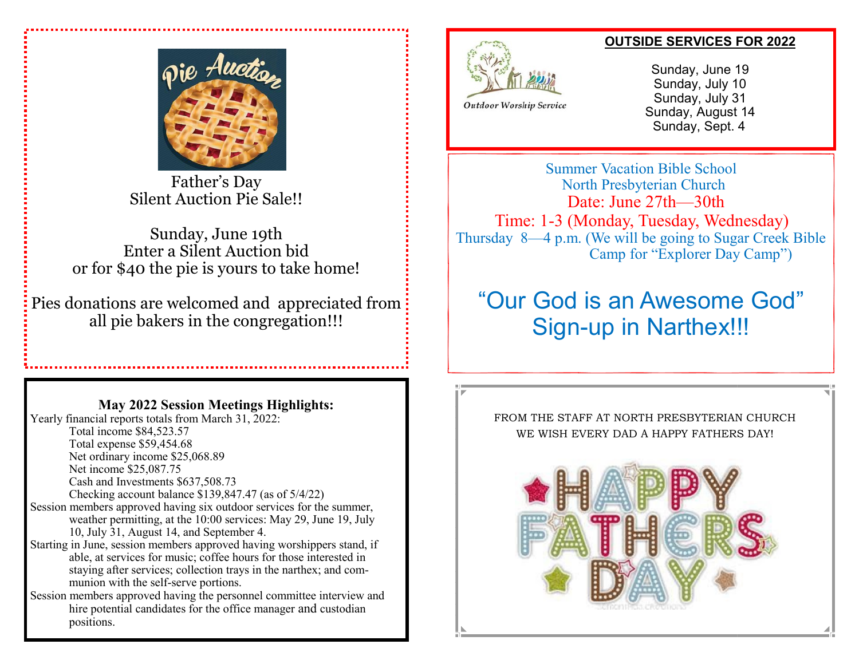Father's Day Silent Auction Pie Sale!!

Sunday, June 19th Enter a Silent Auction bid or for \$40 the pie is yours to take home!

Pies donations are welcomed and appreciated from all pie bakers in the congregation!!!

## **May 2022 Session Meetings Highlights:**

Yearly financial reports totals from March 31, 2022: Total income \$84,523.57 Total expense \$59,454.68 Net ordinary income \$25,068.89 Net income \$25,087.75 Cash and Investments \$637,508.73 Checking account balance \$139,847.47 (as of 5/4/22) Session members approved having six outdoor services for the summer, weather permitting, at the 10:00 services: May 29, June 19, July 10, July 31, August 14, and September 4. Starting in June, session members approved having worshippers stand, if able, at services for music; coffee hours for those interested in staying after services; collection trays in the narthex; and communion with the self-serve portions. Session members approved having the personnel committee interview and

hire potential candidates for the office manager and custodian positions.

## **OUTSIDE SERVICES FOR 2022**



Sunday, June 19 Sunday, July 10 Sunday, July 31 Sunday, August 14 Sunday, Sept. 4

Summer Vacation Bible School North Presbyterian Church Date: June 27th—30th Time: 1-3 (Monday, Tuesday, Wednesday) Thursday 8—4 p.m. (We will be going to Sugar Creek Bible Camp for "Explorer Day Camp")

## "Our God is an Awesome God" Sign-up in Narthex!!!



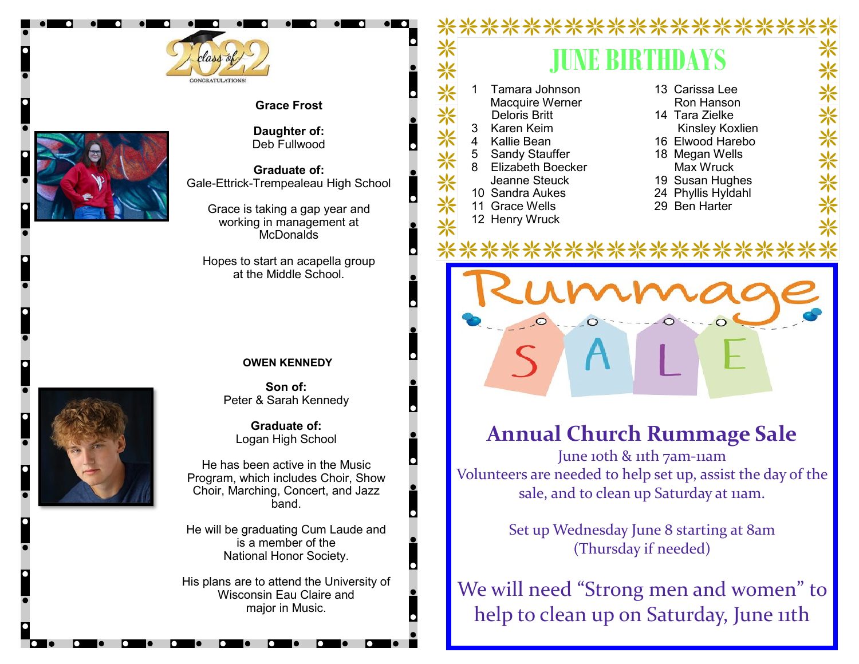





**Daughter of:** Deb Fullwood

**Graduate of:** Gale-Ettrick-Trempealeau High School

Grace is taking a gap year and working in management at **McDonalds** 

Hopes to start an acapella group at the Middle School.

 $\mathbf C$ 

 $\bullet$ 

### **OWEN KENNEDY**

**Son of:** Peter & Sarah Kennedy

**Graduate of:** Logan High School

He has been active in the Music Program, which includes Choir, Show Choir, Marching, Concert, and Jazz band.

He will be graduating Cum Laude and is a member of the National Honor Society.

His plans are to attend the University of Wisconsin Eau Claire and major in Music.

### \*\*\*\*\*\*\*\*\*\*\* **JUNE BIRTHDAYS** "米米米米米米米 <sup>1</sup> Tamara Johnson 13 Carissa Lee Macquire Werner Ron Hanson Deloris Britt 14 Tara Zielke 3 Karen Keim Kinsley Koxlien 4 Kallie Bean 16 Elwood Harebo 5 Sandy Stauffer 18 Megan Wells 8 Elizabeth Boecker Max Wruck Jeanne Steuck 19 Susan Hughes 10 Sandra Aukes 24 Phyllis Hyldahl 11 Grace Wells 29 Ben Harter 12 Henry Wruck

## **Annual Church Rummage Sale**

June 10th & 11th 7am-11am Volunteers are needed to help set up, assist the day of the sale, and to clean up Saturday at 11am.

> Set up Wednesday June 8 starting at 8am (Thursday if needed)

We will need "Strong men and women" to help to clean up on Saturday, June 11th